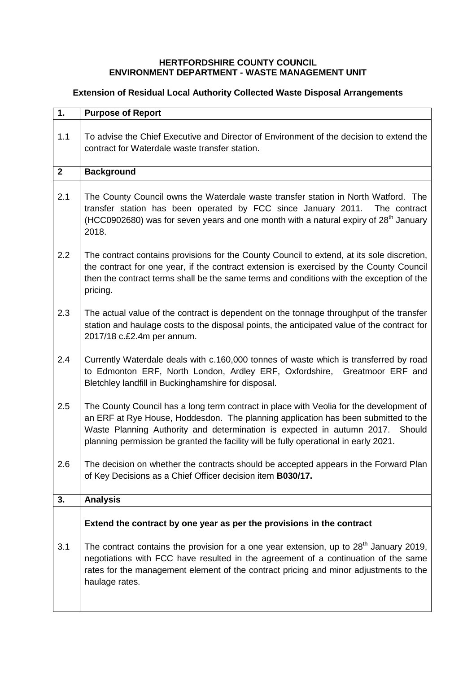## **HERTFORDSHIRE COUNTY COUNCIL ENVIRONMENT DEPARTMENT - WASTE MANAGEMENT UNIT**

## **Extension of Residual Local Authority Collected Waste Disposal Arrangements**

| 1.           | <b>Purpose of Report</b>                                                                                                                                                                                                                                                                                                                               |
|--------------|--------------------------------------------------------------------------------------------------------------------------------------------------------------------------------------------------------------------------------------------------------------------------------------------------------------------------------------------------------|
| 1.1          | To advise the Chief Executive and Director of Environment of the decision to extend the<br>contract for Waterdale waste transfer station.                                                                                                                                                                                                              |
| $\mathbf{2}$ | <b>Background</b>                                                                                                                                                                                                                                                                                                                                      |
| 2.1          | The County Council owns the Waterdale waste transfer station in North Watford. The<br>transfer station has been operated by FCC since January 2011. The contract<br>(HCC0902680) was for seven years and one month with a natural expiry of 28 <sup>th</sup> January<br>2018.                                                                          |
| 2.2          | The contract contains provisions for the County Council to extend, at its sole discretion,<br>the contract for one year, if the contract extension is exercised by the County Council<br>then the contract terms shall be the same terms and conditions with the exception of the<br>pricing.                                                          |
| 2.3          | The actual value of the contract is dependent on the tonnage throughput of the transfer<br>station and haulage costs to the disposal points, the anticipated value of the contract for<br>2017/18 c.£2.4m per annum.                                                                                                                                   |
| 2.4          | Currently Waterdale deals with c.160,000 tonnes of waste which is transferred by road<br>to Edmonton ERF, North London, Ardley ERF, Oxfordshire, Greatmoor ERF and<br>Bletchley landfill in Buckinghamshire for disposal.                                                                                                                              |
| 2.5          | The County Council has a long term contract in place with Veolia for the development of<br>an ERF at Rye House, Hoddesdon. The planning application has been submitted to the<br>Waste Planning Authority and determination is expected in autumn 2017. Should<br>planning permission be granted the facility will be fully operational in early 2021. |
| 2.6          | The decision on whether the contracts should be accepted appears in the Forward Plan<br>of Key Decisions as a Chief Officer decision item B030/17.                                                                                                                                                                                                     |
| 3.           | <b>Analysis</b>                                                                                                                                                                                                                                                                                                                                        |
|              | Extend the contract by one year as per the provisions in the contract                                                                                                                                                                                                                                                                                  |
| 3.1          | The contract contains the provision for a one year extension, up to $28th$ January 2019,<br>negotiations with FCC have resulted in the agreement of a continuation of the same<br>rates for the management element of the contract pricing and minor adjustments to the<br>haulage rates.                                                              |